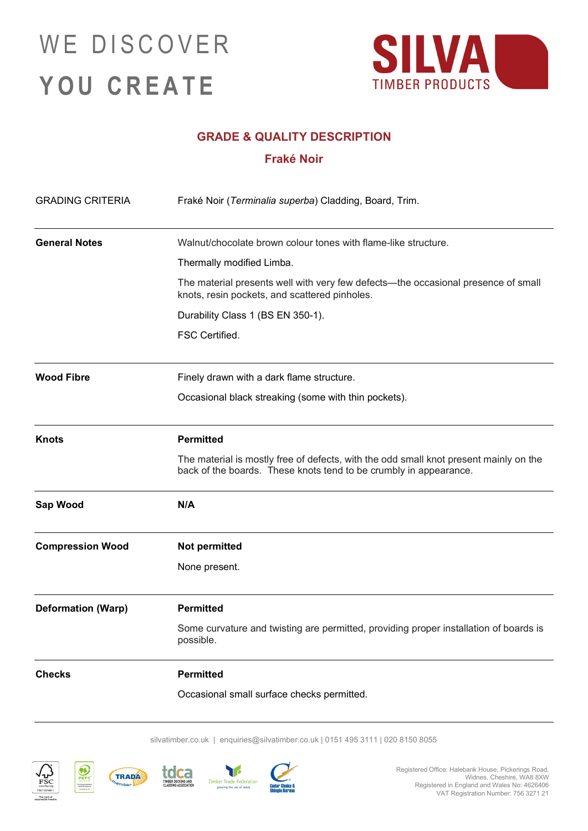## WE DISCOVER **YOU CREATE**



### **GRADE & QUALITY DESCRIPTION**

### **Fraké Noir**

| <b>GRADING CRITERIA</b>   | Fraké Noir (Terminalia superba) Cladding, Board, Trim.                                                                                                     |
|---------------------------|------------------------------------------------------------------------------------------------------------------------------------------------------------|
| <b>General Notes</b>      | Walnut/chocolate brown colour tones with flame-like structure.                                                                                             |
|                           | Thermally modified Limba.                                                                                                                                  |
|                           | The material presents well with very few defects—the occasional presence of small<br>knots, resin pockets, and scattered pinholes.                         |
|                           | Durability Class 1 (BS EN 350-1).                                                                                                                          |
|                           | FSC Certified.                                                                                                                                             |
| <b>Wood Fibre</b>         | Finely drawn with a dark flame structure.                                                                                                                  |
|                           | Occasional black streaking (some with thin pockets).                                                                                                       |
| <b>Knots</b>              | <b>Permitted</b>                                                                                                                                           |
|                           | The material is mostly free of defects, with the odd small knot present mainly on the<br>back of the boards. These knots tend to be crumbly in appearance. |
| Sap Wood                  | N/A                                                                                                                                                        |
| <b>Compression Wood</b>   | Not permitted                                                                                                                                              |
|                           | None present.                                                                                                                                              |
| <b>Deformation (Warp)</b> | <b>Permitted</b>                                                                                                                                           |
|                           | Some curvature and twisting are permitted, providing proper installation of boards is<br>possible.                                                         |
| <b>Checks</b>             | <b>Permitted</b>                                                                                                                                           |
|                           | Occasional small surface checks permitted.                                                                                                                 |

silvatimber.co.uk | [enquiries@silvatimber.co.uk](mailto:enquiries@silvatimber.co.uk) | 0151 495 3111 | 020 8150 8055



**Inserting Sue**<br>Forest Manag